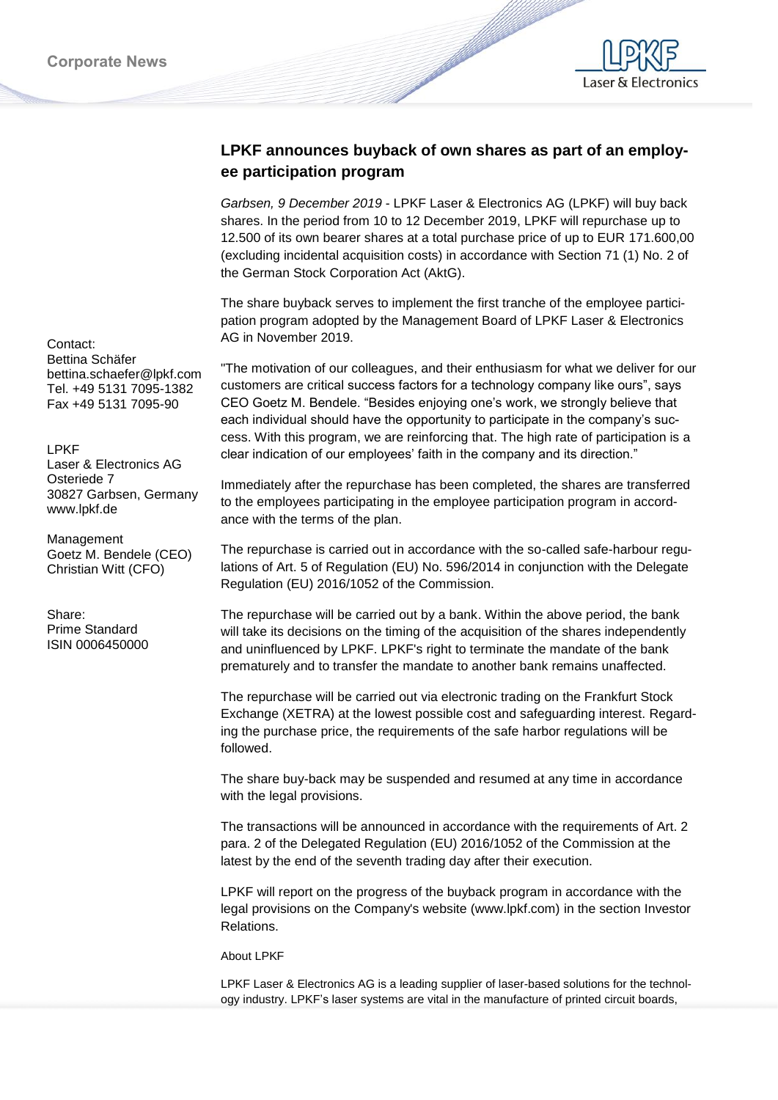

## **LPKF announces buyback of own shares as part of an employee participation program**

*Garbsen, 9 December 2019* - LPKF Laser & Electronics AG (LPKF) will buy back shares. In the period from 10 to 12 December 2019, LPKF will repurchase up to 12.500 of its own bearer shares at a total purchase price of up to EUR 171.600,00 (excluding incidental acquisition costs) in accordance with Section 71 (1) No. 2 of the German Stock Corporation Act (AktG).

The share buyback serves to implement the first tranche of the employee participation program adopted by the Management Board of LPKF Laser & Electronics AG in November 2019.

"The motivation of our colleagues, and their enthusiasm for what we deliver for our customers are critical success factors for a technology company like ours", says CEO Goetz M. Bendele. "Besides enjoying one's work, we strongly believe that each individual should have the opportunity to participate in the company's success. With this program, we are reinforcing that. The high rate of participation is a clear indication of our employees' faith in the company and its direction."

Immediately after the repurchase has been completed, the shares are transferred to the employees participating in the employee participation program in accordance with the terms of the plan.

The repurchase is carried out in accordance with the so-called safe-harbour regulations of Art. 5 of Regulation (EU) No. 596/2014 in conjunction with the Delegate Regulation (EU) 2016/1052 of the Commission.

The repurchase will be carried out by a bank. Within the above period, the bank will take its decisions on the timing of the acquisition of the shares independently and uninfluenced by LPKF. LPKF's right to terminate the mandate of the bank prematurely and to transfer the mandate to another bank remains unaffected.

The repurchase will be carried out via electronic trading on the Frankfurt Stock Exchange (XETRA) at the lowest possible cost and safeguarding interest. Regarding the purchase price, the requirements of the safe harbor regulations will be followed.

The share buy-back may be suspended and resumed at any time in accordance with the legal provisions.

The transactions will be announced in accordance with the requirements of Art. 2 para. 2 of the Delegated Regulation (EU) 2016/1052 of the Commission at the latest by the end of the seventh trading day after their execution.

LPKF will report on the progress of the buyback program in accordance with the legal provisions on the Company's website (www.lpkf.com) in the section Investor Relations.

## About LPKF

LPKF Laser & Electronics AG is a leading supplier of laser-based solutions for the technology industry. LPKF's laser systems are vital in the manufacture of printed circuit boards,

Contact: Bettina Schäfer bettina.schaefer@lpkf.com Tel. +49 5131 7095-1382 Fax +49 5131 7095-90

## LPKF

Laser & Electronics AG Osteriede 7 30827 Garbsen, Germany www.lpkf.de

Management Goetz M. Bendele (CEO) Christian Witt (CFO)

Share: Prime Standard ISIN 0006450000